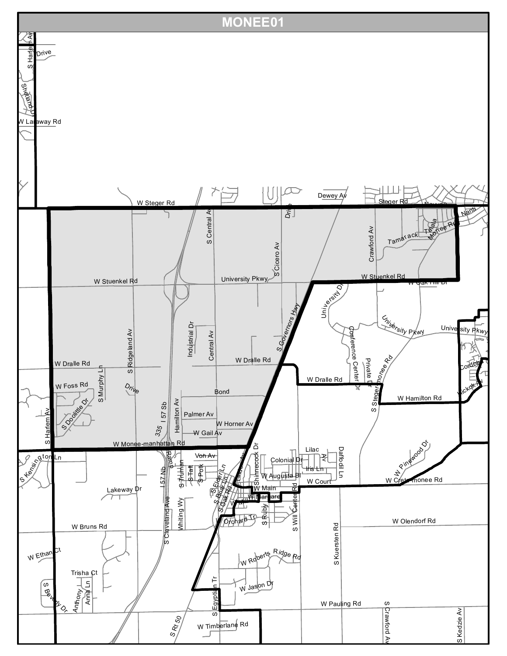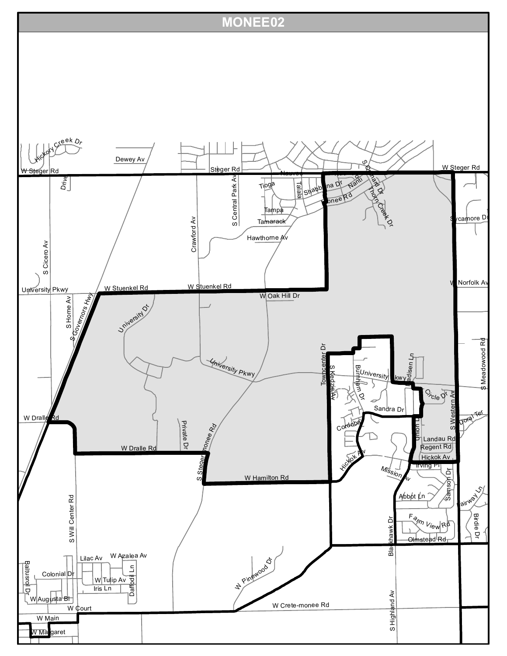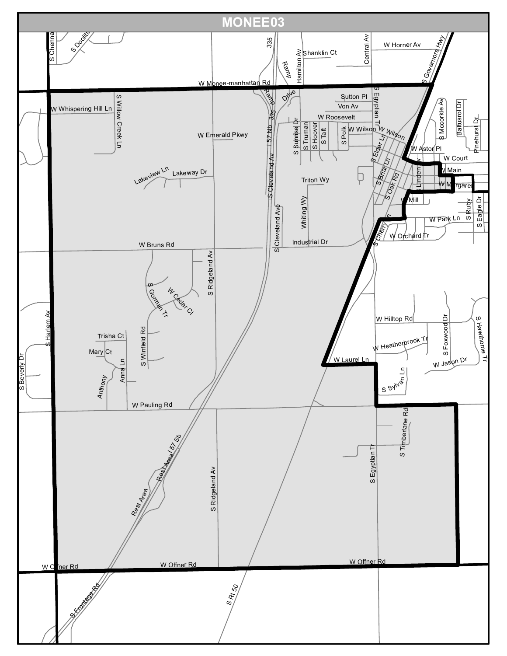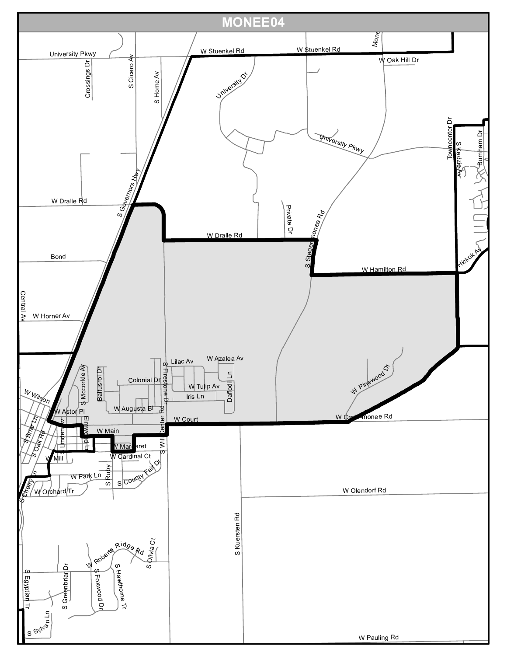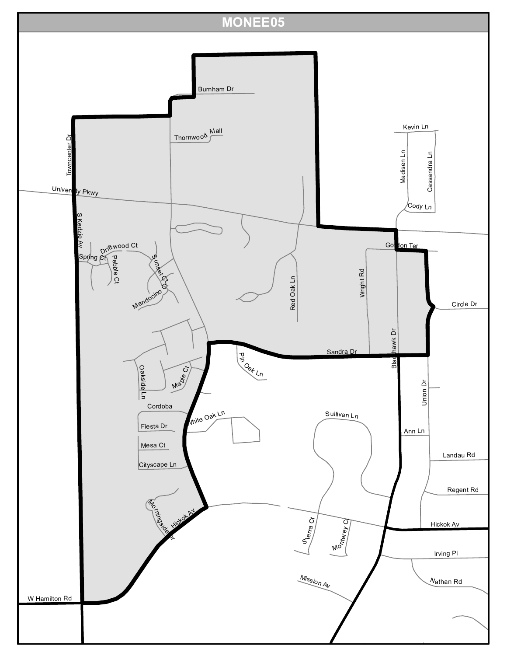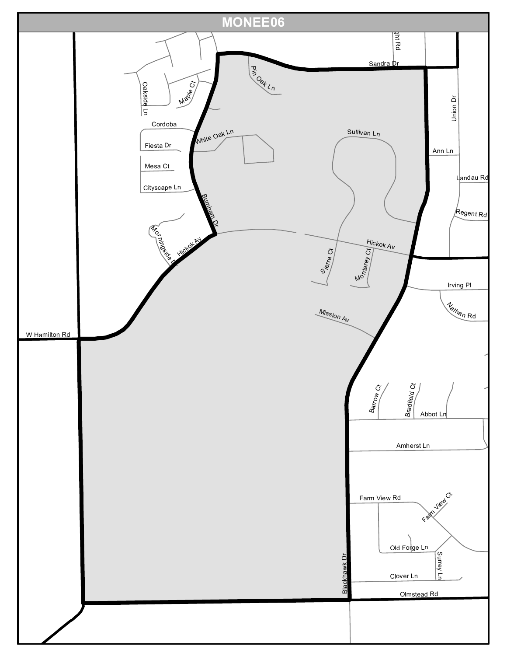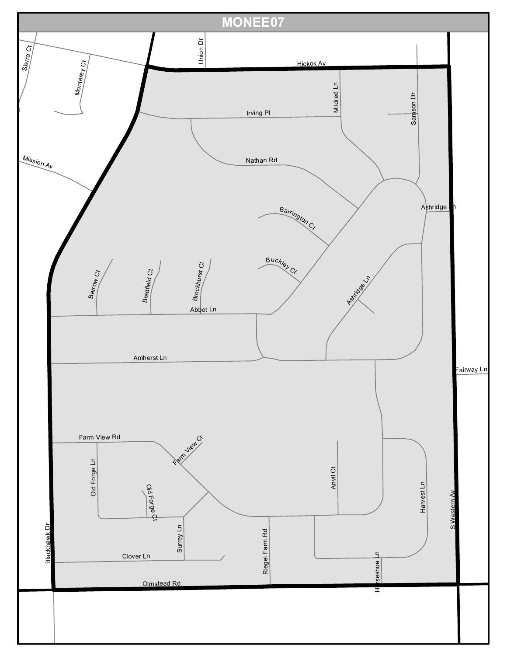